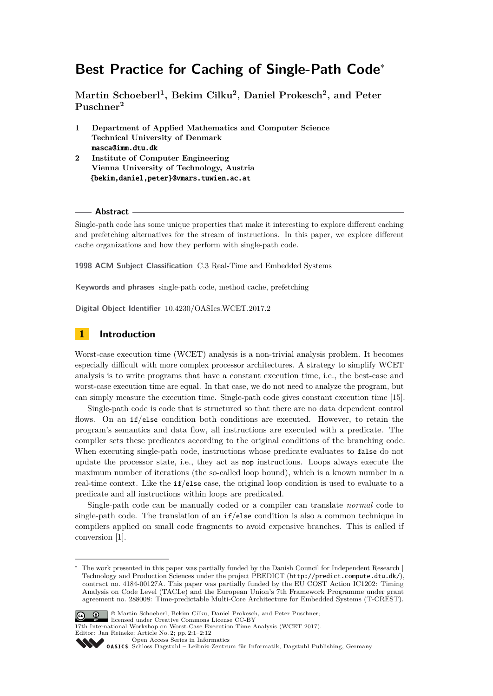# **Best Practice for Caching of Single-Path Code**<sup>∗</sup>

**Martin Schoeberl<sup>1</sup> , Bekim Cilku<sup>2</sup> , Daniel Prokesch<sup>2</sup> , and Peter Puschner<sup>2</sup>**

- **1 Department of Applied Mathematics and Computer Science Technical University of Denmark** masca@imm.dtu.dk
- **2 Institute of Computer Engineering Vienna University of Technology, Austria** {bekim,daniel,peter}@vmars.tuwien.ac.at

#### **Abstract**

Single-path code has some unique properties that make it interesting to explore different caching and prefetching alternatives for the stream of instructions. In this paper, we explore different cache organizations and how they perform with single-path code.

**1998 ACM Subject Classification** C.3 Real-Time and Embedded Systems

**Keywords and phrases** single-path code, method cache, prefetching

**Digital Object Identifier** [10.4230/OASIcs.WCET.2017.2](http://dx.doi.org/10.4230/OASIcs.WCET.2017.2)

# **1 Introduction**

Worst-case execution time (WCET) analysis is a non-trivial analysis problem. It becomes especially difficult with more complex processor architectures. A strategy to simplify WCET analysis is to write programs that have a constant execution time, i.e., the best-case and worst-case execution time are equal. In that case, we do not need to analyze the program, but can simply measure the execution time. Single-path code gives constant execution time [\[15\]](#page-11-0).

Single-path code is code that is structured so that there are no data dependent control flows. On an  $if/else$  condition both conditions are executed. However, to retain the program's semantics and data flow, all instructions are executed with a predicate. The compiler sets these predicates according to the original conditions of the branching code. When executing single-path code, instructions whose predicate evaluates to false do not update the processor state, i.e., they act as nop instructions. Loops always execute the maximum number of iterations (the so-called loop bound), which is a known number in a real-time context. Like the if/else case, the original loop condition is used to evaluate to a predicate and all instructions within loops are predicated.

Single-path code can be manually coded or a compiler can translate *normal* code to single-path code. The translation of an  $if/else$  condition is also a common technique in compilers applied on small code fragments to avoid expensive branches. This is called if conversion [\[1\]](#page-10-0).

The work presented in this paper was partially funded by the Danish Council for Independent Research  $|$ Technology and Production Sciences under the project PREDICT (<http://predict.compute.dtu.dk/>), contract no. 4184-00127A. This paper was partially funded by the EU COST Action IC1202: Timing Analysis on Code Level (TACLe) and the European Union's 7th Framework Programme under grant agreement no. 288008: Time-predictable Multi-Core Architecture for Embedded Systems (T-CREST).



<sup>©</sup> Martin Schoeberl, Bekim Cilku, Daniel Prokesch, and Peter Puschner; licensed under Creative Commons License CC-BY

Editor: Jan Reineke; Article No. 2; pp. 2:1–2[:12](#page-11-1)

<sup>17</sup>th International Workshop on Worst-Case Execution Time Analysis (WCET 2017).

[Open Access Series in Informatics](http://www.dagstuhl.de/oasics/)

[Schloss Dagstuhl – Leibniz-Zentrum für Informatik, Dagstuhl Publishing, Germany](http://www.dagstuhl.de)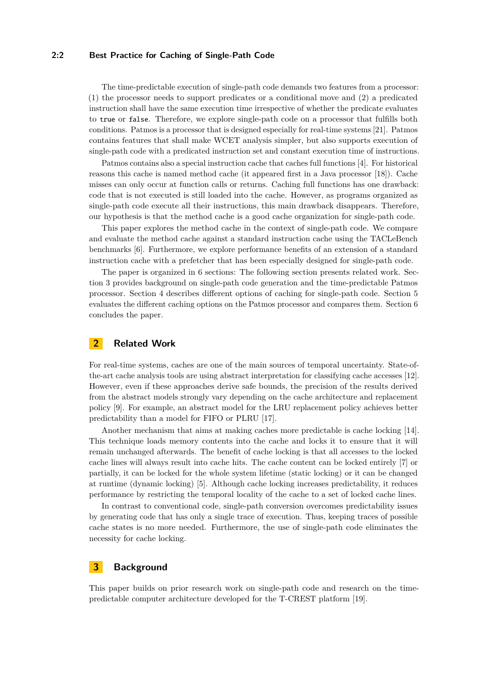#### **2:2 Best Practice for Caching of Single-Path Code**

The time-predictable execution of single-path code demands two features from a processor: (1) the processor needs to support predicates or a conditional move and (2) a predicated instruction shall have the same execution time irrespective of whether the predicate evaluates to true or false. Therefore, we explore single-path code on a processor that fulfills both conditions. Patmos is a processor that is designed especially for real-time systems [\[21\]](#page-11-2). Patmos contains features that shall make WCET analysis simpler, but also supports execution of single-path code with a predicated instruction set and constant execution time of instructions.

Patmos contains also a special instruction cache that caches full functions [\[4\]](#page-10-1). For historical reasons this cache is named method cache (it appeared first in a Java processor [\[18\]](#page-11-3)). Cache misses can only occur at function calls or returns. Caching full functions has one drawback: code that is not executed is still loaded into the cache. However, as programs organized as single-path code execute all their instructions, this main drawback disappears. Therefore, our hypothesis is that the method cache is a good cache organization for single-path code.

This paper explores the method cache in the context of single-path code. We compare and evaluate the method cache against a standard instruction cache using the TACLeBench benchmarks [\[6\]](#page-10-2). Furthermore, we explore performance benefits of an extension of a standard instruction cache with a prefetcher that has been especially designed for single-path code.

The paper is organized in 6 sections: The following section presents related work. Section [3](#page-1-0) provides background on single-path code generation and the time-predictable Patmos processor. Section 4 describes different options of caching for single-path code. Section [5](#page-4-0) evaluates the different caching options on the Patmos processor and compares them. Section [6](#page-10-3) concludes the paper.

# **2 Related Work**

For real-time systems, caches are one of the main sources of temporal uncertainty. State-ofthe-art cache analysis tools are using abstract interpretation for classifying cache accesses [\[12\]](#page-11-4). However, even if these approaches derive safe bounds, the precision of the results derived from the abstract models strongly vary depending on the cache architecture and replacement policy [\[9\]](#page-10-4). For example, an abstract model for the LRU replacement policy achieves better predictability than a model for FIFO or PLRU [\[17\]](#page-11-5).

Another mechanism that aims at making caches more predictable is cache locking [\[14\]](#page-11-6). This technique loads memory contents into the cache and locks it to ensure that it will remain unchanged afterwards. The benefit of cache locking is that all accesses to the locked cache lines will always result into cache hits. The cache content can be locked entirely [\[7\]](#page-10-5) or partially, it can be locked for the whole system lifetime (static locking) or it can be changed at runtime (dynamic locking) [\[5\]](#page-10-6). Although cache locking increases predictability, it reduces performance by restricting the temporal locality of the cache to a set of locked cache lines.

In contrast to conventional code, single-path conversion overcomes predictability issues by generating code that has only a single trace of execution. Thus, keeping traces of possible cache states is no more needed. Furthermore, the use of single-path code eliminates the necessity for cache locking.

# <span id="page-1-0"></span>**3 Background**

This paper builds on prior research work on single-path code and research on the timepredictable computer architecture developed for the T-CREST platform [\[19\]](#page-11-7).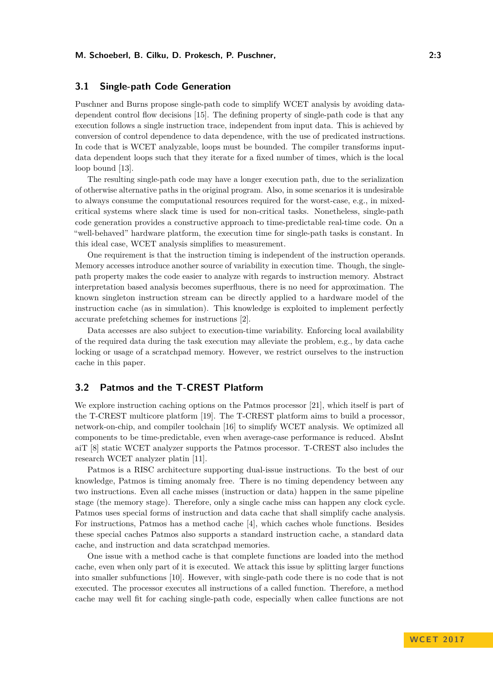## **3.1 Single-path Code Generation**

Puschner and Burns propose single-path code to simplify WCET analysis by avoiding datadependent control flow decisions [\[15\]](#page-11-0). The defining property of single-path code is that any execution follows a single instruction trace, independent from input data. This is achieved by conversion of control dependence to data dependence, with the use of predicated instructions. In code that is WCET analyzable, loops must be bounded. The compiler transforms inputdata dependent loops such that they iterate for a fixed number of times, which is the local loop bound [\[13\]](#page-11-8).

The resulting single-path code may have a longer execution path, due to the serialization of otherwise alternative paths in the original program. Also, in some scenarios it is undesirable to always consume the computational resources required for the worst-case, e.g., in mixedcritical systems where slack time is used for non-critical tasks. Nonetheless, single-path code generation provides a constructive approach to time-predictable real-time code. On a "well-behaved" hardware platform, the execution time for single-path tasks is constant. In this ideal case, WCET analysis simplifies to measurement.

One requirement is that the instruction timing is independent of the instruction operands. Memory accesses introduce another source of variability in execution time. Though, the singlepath property makes the code easier to analyze with regards to instruction memory. Abstract interpretation based analysis becomes superfluous, there is no need for approximation. The known singleton instruction stream can be directly applied to a hardware model of the instruction cache (as in simulation). This knowledge is exploited to implement perfectly accurate prefetching schemes for instructions [\[2\]](#page-10-7).

Data accesses are also subject to execution-time variability. Enforcing local availability of the required data during the task execution may alleviate the problem, e.g., by data cache locking or usage of a scratchpad memory. However, we restrict ourselves to the instruction cache in this paper.

# **3.2 Patmos and the T-CREST Platform**

We explore instruction caching options on the Patmos processor [\[21\]](#page-11-2), which itself is part of the T-CREST multicore platform [\[19\]](#page-11-7). The T-CREST platform aims to build a processor, network-on-chip, and compiler toolchain [\[16\]](#page-11-9) to simplify WCET analysis. We optimized all components to be time-predictable, even when average-case performance is reduced. AbsInt aiT [\[8\]](#page-10-8) static WCET analyzer supports the Patmos processor. T-CREST also includes the research WCET analyzer platin [\[11\]](#page-11-10).

Patmos is a RISC architecture supporting dual-issue instructions. To the best of our knowledge, Patmos is timing anomaly free. There is no timing dependency between any two instructions. Even all cache misses (instruction or data) happen in the same pipeline stage (the memory stage). Therefore, only a single cache miss can happen any clock cycle. Patmos uses special forms of instruction and data cache that shall simplify cache analysis. For instructions, Patmos has a method cache [\[4\]](#page-10-1), which caches whole functions. Besides these special caches Patmos also supports a standard instruction cache, a standard data cache, and instruction and data scratchpad memories.

One issue with a method cache is that complete functions are loaded into the method cache, even when only part of it is executed. We attack this issue by splitting larger functions into smaller subfunctions [\[10\]](#page-10-9). However, with single-path code there is no code that is not executed. The processor executes all instructions of a called function. Therefore, a method cache may well fit for caching single-path code, especially when callee functions are not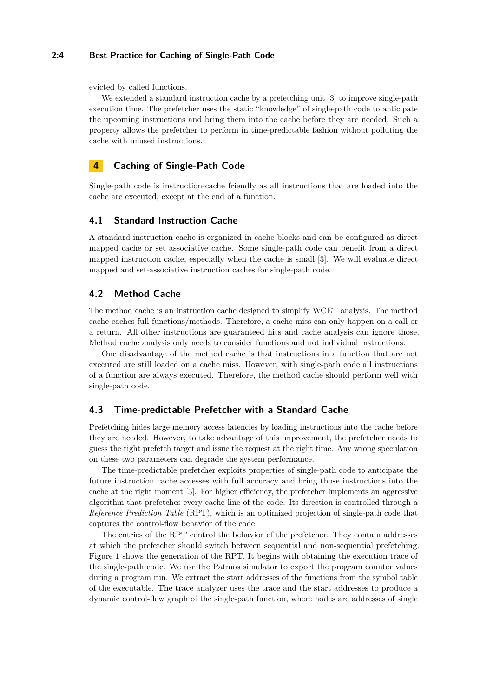#### **2:4 Best Practice for Caching of Single-Path Code**

evicted by called functions.

We extended a standard instruction cache by a prefetching unit [\[3\]](#page-10-10) to improve single-path execution time. The prefetcher uses the static "knowledge" of single-path code to anticipate the upcoming instructions and bring them into the cache before they are needed. Such a property allows the prefetcher to perform in time-predictable fashion without polluting the cache with unused instructions.

# **4 Caching of Single-Path Code**

Single-path code is instruction-cache friendly as all instructions that are loaded into the cache are executed, except at the end of a function.

## **4.1 Standard Instruction Cache**

A standard instruction cache is organized in cache blocks and can be configured as direct mapped cache or set associative cache. Some single-path code can benefit from a direct mapped instruction cache, especially when the cache is small [\[3\]](#page-10-10). We will evaluate direct mapped and set-associative instruction caches for single-path code.

## **4.2 Method Cache**

The method cache is an instruction cache designed to simplify WCET analysis. The method cache caches full functions/methods. Therefore, a cache miss can only happen on a call or a return. All other instructions are guaranteed hits and cache analysis can ignore those. Method cache analysis only needs to consider functions and not individual instructions.

One disadvantage of the method cache is that instructions in a function that are not executed are still loaded on a cache miss. However, with single-path code all instructions of a function are always executed. Therefore, the method cache should perform well with single-path code.

#### **4.3 Time-predictable Prefetcher with a Standard Cache**

Prefetching hides large memory access latencies by loading instructions into the cache before they are needed. However, to take advantage of this improvement, the prefetcher needs to guess the right prefetch target and issue the request at the right time. Any wrong speculation on these two parameters can degrade the system performance.

The time-predictable prefetcher exploits properties of single-path code to anticipate the future instruction cache accesses with full accuracy and bring those instructions into the cache at the right moment [\[3\]](#page-10-10). For higher efficiency, the prefetcher implements an aggressive algorithm that prefetches every cache line of the code. Its direction is controlled through a *Reference Prediction Table* (RPT), which is an optimized projection of single-path code that captures the control-flow behavior of the code.

The entries of the RPT control the behavior of the prefetcher. They contain addresses at which the prefetcher should switch between sequential and non-sequential prefetching. Figure [1](#page-4-1) shows the generation of the RPT. It begins with obtaining the execution trace of the single-path code. We use the Patmos simulator to export the program counter values during a program run. We extract the start addresses of the functions from the symbol table of the executable. The trace analyzer uses the trace and the start addresses to produce a dynamic control-flow graph of the single-path function, where nodes are addresses of single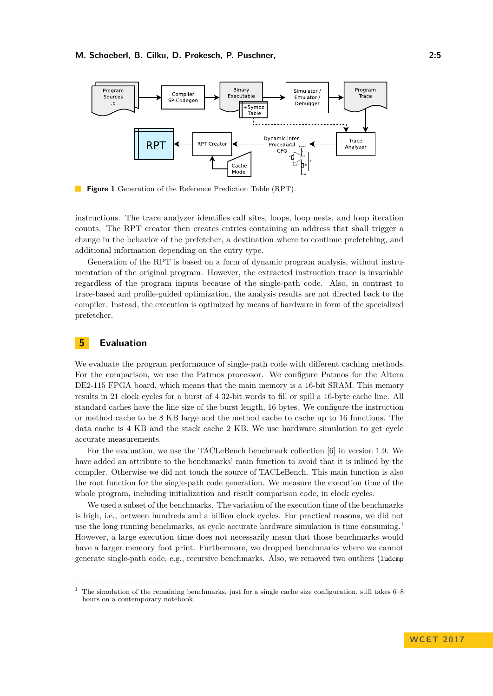<span id="page-4-1"></span>

**Figure 1** Generation of the Reference Prediction Table (RPT).

instructions. The trace analyzer identifies call sites, loops, loop nests, and loop iteration counts. The RPT creator then creates entries containing an address that shall trigger a change in the behavior of the prefetcher, a destination where to continue prefetching, and additional information depending on the entry type.

Generation of the RPT is based on a form of dynamic program analysis, without instrumentation of the original program. However, the extracted instruction trace is invariable regardless of the program inputs because of the single-path code. Also, in contrast to trace-based and profile-guided optimization, the analysis results are not directed back to the compiler. Instead, the execution is optimized by means of hardware in form of the specialized prefetcher.

# <span id="page-4-0"></span>**5 Evaluation**

We evaluate the program performance of single-path code with different caching methods. For the comparison, we use the Patmos processor. We configure Patmos for the Altera DE2-115 FPGA board, which means that the main memory is a 16-bit SRAM. This memory results in 21 clock cycles for a burst of 4 32-bit words to fill or spill a 16-byte cache line. All standard caches have the line size of the burst length, 16 bytes. We configure the instruction or method cache to be 8 KB large and the method cache to cache up to 16 functions. The data cache is 4 KB and the stack cache 2 KB. We use hardware simulation to get cycle accurate measurements.

For the evaluation, we use the TACLeBench benchmark collection [\[6\]](#page-10-2) in version 1.9. We have added an attribute to the benchmarks' main function to avoid that it is inlined by the compiler. Otherwise we did not touch the source of TACLeBench. This main function is also the root function for the single-path code generation. We measure the execution time of the whole program, including initialization and result comparison code, in clock cycles.

We used a subset of the benchmarks. The variation of the execution time of the benchmarks is high, i.e., between hundreds and a billion clock cycles. For practical reasons, we did not use the long running benchmarks, as cycle accurate hardware simulation is time consuming.[1](#page-4-2) However, a large execution time does not necessarily mean that those benchmarks would have a larger memory foot print. Furthermore, we dropped benchmarks where we cannot generate single-path code, e.g., recursive benchmarks. Also, we removed two outliers (ludcmp

<span id="page-4-2"></span><sup>1</sup> The simulation of the remaining benchmarks, just for a single cache size configuration, still takes 6–8 hours on a contemporary notebook.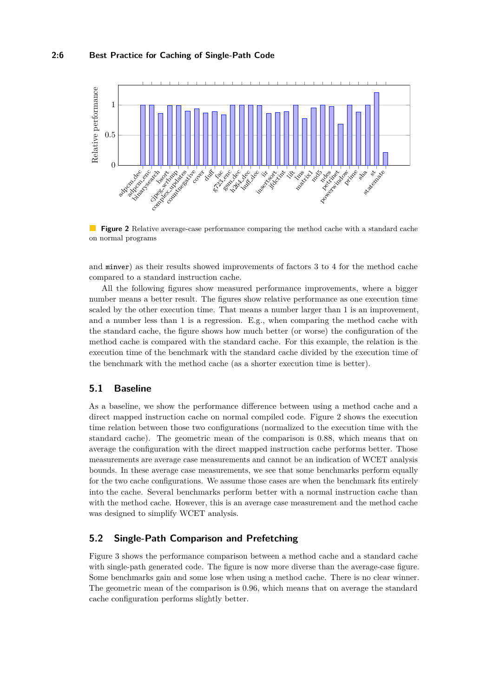#### **2:6 Best Practice for Caching of Single-Path Code**

<span id="page-5-0"></span>

**Figure 2** Relative average-case performance comparing the method cache with a standard cache on normal programs

and minver) as their results showed improvements of factors 3 to 4 for the method cache compared to a standard instruction cache.

All the following figures show measured performance improvements, where a bigger number means a better result. The figures show relative performance as one execution time scaled by the other execution time. That means a number larger than 1 is an improvement, and a number less than 1 is a regression. E.g., when comparing the method cache with the standard cache, the figure shows how much better (or worse) the configuration of the method cache is compared with the standard cache. For this example, the relation is the execution time of the benchmark with the standard cache divided by the execution time of the benchmark with the method cache (as a shorter execution time is better).

## **5.1 Baseline**

As a baseline, we show the performance difference between using a method cache and a direct mapped instruction cache on normal compiled code. Figure [2](#page-5-0) shows the execution time relation between those two configurations (normalized to the execution time with the standard cache). The geometric mean of the comparison is 0.88, which means that on average the configuration with the direct mapped instruction cache performs better. Those measurements are average case measurements and cannot be an indication of WCET analysis bounds. In these average case measurements, we see that some benchmarks perform equally for the two cache configurations. We assume those cases are when the benchmark fits entirely into the cache. Several benchmarks perform better with a normal instruction cache than with the method cache. However, this is an average case measurement and the method cache was designed to simplify WCET analysis.

# **5.2 Single-Path Comparison and Prefetching**

Figure [3](#page-6-0) shows the performance comparison between a method cache and a standard cache with single-path generated code. The figure is now more diverse than the average-case figure. Some benchmarks gain and some lose when using a method cache. There is no clear winner. The geometric mean of the comparison is 0.96, which means that on average the standard cache configuration performs slightly better.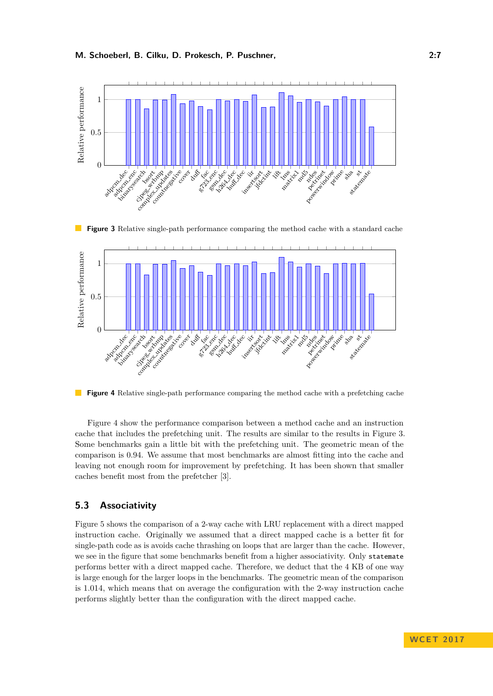<span id="page-6-0"></span>

**Figure 3** Relative single-path performance comparing the method cache with a standard cache

<span id="page-6-1"></span>

**Figure 4** Relative single-path performance comparing the method cache with a prefetching cache

Figure [4](#page-6-1) show the performance comparison between a method cache and an instruction cache that includes the prefetching unit. The results are similar to the results in Figure [3.](#page-6-0) Some benchmarks gain a little bit with the prefetching unit. The geometric mean of the comparison is 0.94. We assume that most benchmarks are almost fitting into the cache and leaving not enough room for improvement by prefetching. It has been shown that smaller caches benefit most from the prefetcher [\[3\]](#page-10-10).

# **5.3 Associativity**

Figure [5](#page-7-0) shows the comparison of a 2-way cache with LRU replacement with a direct mapped instruction cache. Originally we assumed that a direct mapped cache is a better fit for single-path code as is avoids cache thrashing on loops that are larger than the cache. However, we see in the figure that some benchmarks benefit from a higher associativity. Only statemate performs better with a direct mapped cache. Therefore, we deduct that the 4 KB of one way is large enough for the larger loops in the benchmarks. The geometric mean of the comparison is 1.014, which means that on average the configuration with the 2-way instruction cache performs slightly better than the configuration with the direct mapped cache.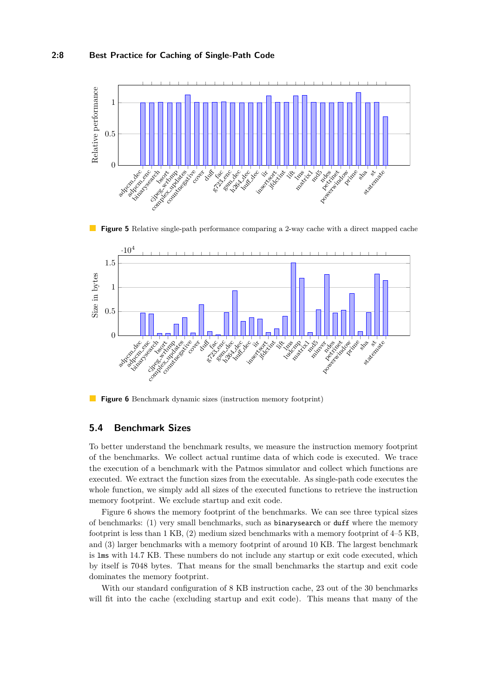#### **2:8 Best Practice for Caching of Single-Path Code**

<span id="page-7-0"></span>

**Figure 5** Relative single-path performance comparing a 2-way cache with a direct mapped cache

<span id="page-7-1"></span>

**Figure 6** Benchmark dynamic sizes (instruction memory footprint)

## **5.4 Benchmark Sizes**

To better understand the benchmark results, we measure the instruction memory footprint of the benchmarks. We collect actual runtime data of which code is executed. We trace the execution of a benchmark with the Patmos simulator and collect which functions are executed. We extract the function sizes from the executable. As single-path code executes the whole function, we simply add all sizes of the executed functions to retrieve the instruction memory footprint. We exclude startup and exit code.

Figure [6](#page-7-1) shows the memory footprint of the benchmarks. We can see three typical sizes of benchmarks: (1) very small benchmarks, such as binarysearch or duff where the memory footprint is less than 1 KB, (2) medium sized benchmarks with a memory footprint of 4–5 KB, and (3) larger benchmarks with a memory footprint of around 10 KB. The largest benchmark is lms with 14.7 KB. These numbers do not include any startup or exit code executed, which by itself is 7048 bytes. That means for the small benchmarks the startup and exit code dominates the memory footprint.

With our standard configuration of 8 KB instruction cache, 23 out of the 30 benchmarks will fit into the cache (excluding startup and exit code). This means that many of the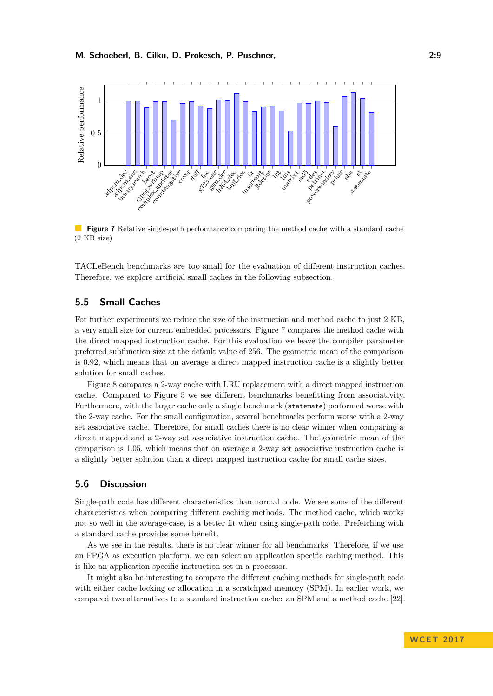<span id="page-8-0"></span>

**Figure 7** Relative single-path performance comparing the method cache with a standard cache (2 KB size)

TACLeBench benchmarks are too small for the evaluation of different instruction caches. Therefore, we explore artificial small caches in the following subsection.

# **5.5 Small Caches**

For further experiments we reduce the size of the instruction and method cache to just 2 KB, a very small size for current embedded processors. Figure [7](#page-8-0) compares the method cache with the direct mapped instruction cache. For this evaluation we leave the compiler parameter preferred subfunction size at the default value of 256. The geometric mean of the comparison is 0.92, which means that on average a direct mapped instruction cache is a slightly better solution for small caches.

Figure [8](#page-9-0) compares a 2-way cache with LRU replacement with a direct mapped instruction cache. Compared to Figure [5](#page-7-0) we see different benchmarks benefitting from associativity. Furthermore, with the larger cache only a single benchmark (statemate) performed worse with the 2-way cache. For the small configuration, several benchmarks perform worse with a 2-way set associative cache. Therefore, for small caches there is no clear winner when comparing a direct mapped and a 2-way set associative instruction cache. The geometric mean of the comparison is 1.05, which means that on average a 2-way set associative instruction cache is a slightly better solution than a direct mapped instruction cache for small cache sizes.

## **5.6 Discussion**

Single-path code has different characteristics than normal code. We see some of the different characteristics when comparing different caching methods. The method cache, which works not so well in the average-case, is a better fit when using single-path code. Prefetching with a standard cache provides some benefit.

As we see in the results, there is no clear winner for all benchmarks. Therefore, if we use an FPGA as execution platform, we can select an application specific caching method. This is like an application specific instruction set in a processor.

It might also be interesting to compare the different caching methods for single-path code with either cache locking or allocation in a scratchpad memory (SPM). In earlier work, we compared two alternatives to a standard instruction cache: an SPM and a method cache [\[22\]](#page-11-11).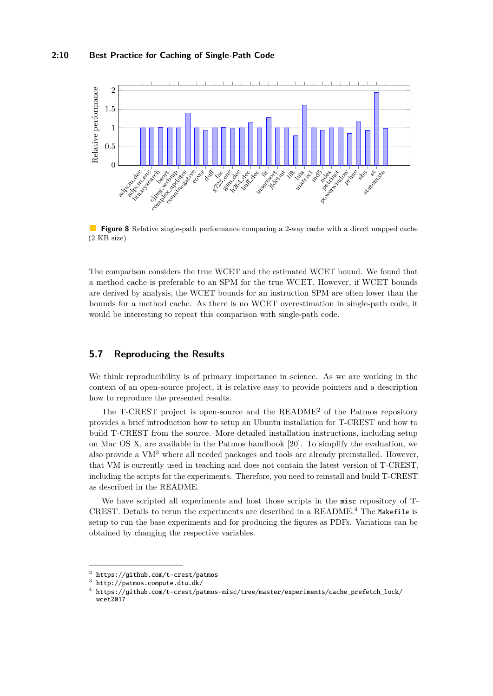#### **2:10 Best Practice for Caching of Single-Path Code**

<span id="page-9-0"></span>

**Figure 8** Relative single-path performance comparing a 2-way cache with a direct mapped cache (2 KB size)

The comparison considers the true WCET and the estimated WCET bound. We found that a method cache is preferable to an SPM for the true WCET. However, if WCET bounds are derived by analysis, the WCET bounds for an instruction SPM are often lower than the bounds for a method cache. As there is no WCET overestimation in single-path code, it would be interesting to repeat this comparison with single-path code.

## **5.7 Reproducing the Results**

We think reproducibility is of primary importance in science. As we are working in the context of an open-source project, it is relative easy to provide pointers and a description how to reproduce the presented results.

The T-CREST project is open-source and the README[2](#page-9-1) of the Patmos repository provides a brief introduction how to setup an Ubuntu installation for T-CREST and how to build T-CREST from the source. More detailed installation instructions, including setup on Mac OS X, are available in the Patmos handbook [\[20\]](#page-11-12). To simplify the evaluation, we also provide a VM[3](#page-9-2) where all needed packages and tools are already preinstalled. However, that VM is currently used in teaching and does not contain the latest version of T-CREST, including the scripts for the experiments. Therefore, you need to reinstall and build T-CREST as described in the README.

We have scripted all experiments and host those scripts in the misc repository of T-CREST. Details to rerun the experiments are described in a README.[4](#page-9-3) The Makefile is setup to run the base experiments and for producing the figures as PDFs. Variations can be obtained by changing the respective variables.

<span id="page-9-1"></span> $^2$  <https://github.com/t-crest/patmos>

<span id="page-9-2"></span> $^3$  <http://patmos.compute.dtu.dk/>

<span id="page-9-3"></span><sup>4</sup> [https://github.com/t-crest/patmos-misc/tree/master/experiments/cache\\_prefetch\\_lock/](https://github.com/t-crest/patmos-misc/tree/master/experiments/cache_prefetch_lock/wcet2017) [wcet2017](https://github.com/t-crest/patmos-misc/tree/master/experiments/cache_prefetch_lock/wcet2017)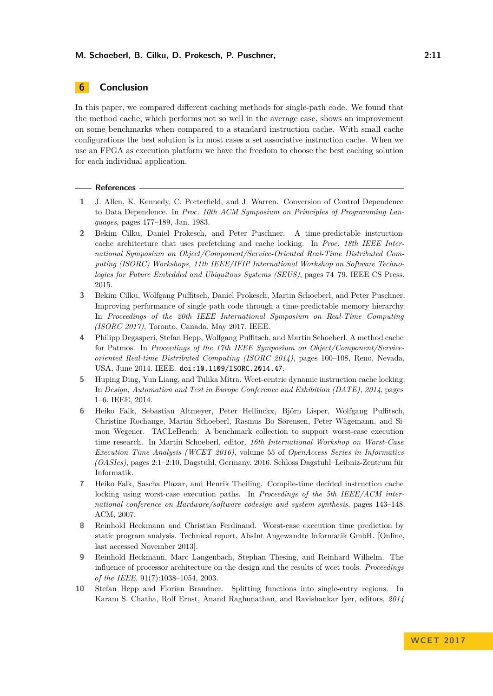# <span id="page-10-3"></span>**6 Conclusion**

In this paper, we compared different caching methods for single-path code. We found that the method cache, which performs not so well in the average case, shows an improvement on some benchmarks when compared to a standard instruction cache. With small cache configurations the best solution is in most cases a set associative instruction cache. When we use an FPGA as execution platform we have the freedom to choose the best caching solution for each individual application.

#### **References**

- <span id="page-10-0"></span>**1** J. Allen, K. Kennedy, C. Porterfield, and J. Warren. Conversion of Control Dependence to Data Dependence. In *Proc. 10th ACM Symposium on Principles of Programming Languages*, pages 177–189, Jan. 1983.
- <span id="page-10-7"></span>**2** Bekim Cilku, Daniel Prokesch, and Peter Puschner. A time-predictable instructioncache architecture that uses prefetching and cache locking. In *Proc. 18th IEEE International Symposium on Object/Component/Service-Oriented Real-Time Distributed Computing (ISORC) Workshops, 11th IEEE/IFIP International Workshop on Software Technologies for Future Embedded and Ubiquitous Systems (SEUS)*, pages 74–79. IEEE CS Press, 2015.
- <span id="page-10-10"></span>**3** Bekim Cilku, Wolfgang Puffitsch, Daniel Prokesch, Martin Schoeberl, and Peter Puschner. Improving performance of single-path code through a time-predictable memory hierarchy. In *Proceedings of the 20th IEEE International Symposium on Real-Time Computing (ISORC 2017)*, Toronto, Canada, May 2017. IEEE.
- <span id="page-10-1"></span>**4** Philipp Degasperi, Stefan Hepp, Wolfgang Puffitsch, and Martin Schoeberl. A method cache for Patmos. In *Proceedings of the 17th IEEE Symposium on Object/Component/Serviceoriented Real-time Distributed Computing (ISORC 2014)*, pages 100–108, Reno, Nevada, USA, June 2014. IEEE. [doi:10.1109/ISORC.2014.47](http://dx.doi.org/10.1109/ISORC.2014.47).
- <span id="page-10-6"></span>**5** Huping Ding, Yun Liang, and Tulika Mitra. Wcet-centric dynamic instruction cache locking. In *Design, Automation and Test in Europe Conference and Exhibition (DATE), 2014*, pages 1–6. IEEE, 2014.
- <span id="page-10-2"></span>**6** Heiko Falk, Sebastian Altmeyer, Peter Hellinckx, Björn Lisper, Wolfgang Puffitsch, Christine Rochange, Martin Schoeberl, Rasmus Bo Sørensen, Peter Wägemann, and Simon Wegener. TACLeBench: A benchmark collection to support worst-case execution time research. In Martin Schoeberl, editor, *16th International Workshop on Worst-Case Execution Time Analysis (WCET 2016)*, volume 55 of *OpenAccess Series in Informatics (OASIcs)*, pages 2:1–2:10, Dagstuhl, Germany, 2016. Schloss Dagstuhl–Leibniz-Zentrum für Informatik.
- <span id="page-10-5"></span>**7** Heiko Falk, Sascha Plazar, and Henrik Theiling. Compile-time decided instruction cache locking using worst-case execution paths. In *Proceedings of the 5th IEEE/ACM international conference on Hardware/software codesign and system synthesis*, pages 143–148. ACM, 2007.
- <span id="page-10-8"></span>**8** Reinhold Heckmann and Christian Ferdinand. Worst-case execution time prediction by static program analysis. Technical report, AbsInt Angewandte Informatik GmbH. [Online, last accessed November 2013].
- <span id="page-10-4"></span>**9** Reinhold Heckmann, Marc Langenbach, Stephan Thesing, and Reinhard Wilhelm. The influence of processor architecture on the design and the results of wcet tools. *Proceedings of the IEEE*, 91(7):1038–1054, 2003.
- <span id="page-10-9"></span>**10** Stefan Hepp and Florian Brandner. Splitting functions into single-entry regions. In Karam S. Chatha, Rolf Ernst, Anand Raghunathan, and Ravishankar Iyer, editors, *2014*